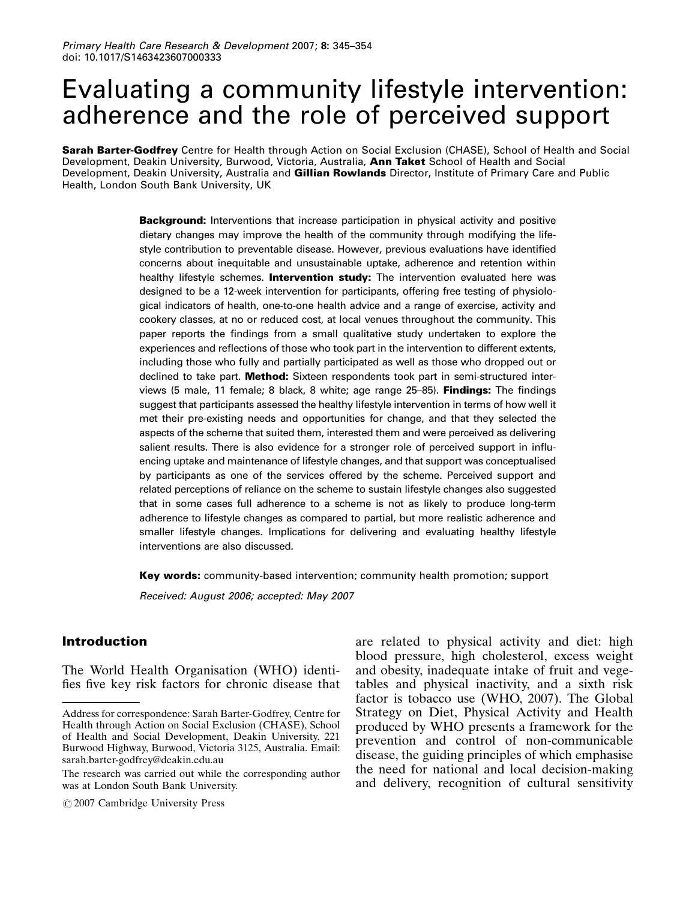# Evaluating a community lifestyle intervention: adherence and the role of perceived support

Sarah Barter-Godfrey Centre for Health through Action on Social Exclusion (CHASE), School of Health and Social Development, Deakin University, Burwood, Victoria, Australia, Ann Taket School of Health and Social Development, Deakin University, Australia and Gillian Rowlands Director, Institute of Primary Care and Public Health, London South Bank University, UK

> **Background:** Interventions that increase participation in physical activity and positive dietary changes may improve the health of the community through modifying the lifestyle contribution to preventable disease. However, previous evaluations have identified concerns about inequitable and unsustainable uptake, adherence and retention within healthy lifestyle schemes. Intervention study: The intervention evaluated here was designed to be a 12-week intervention for participants, offering free testing of physiological indicators of health, one-to-one health advice and a range of exercise, activity and cookery classes, at no or reduced cost, at local venues throughout the community. This paper reports the findings from a small qualitative study undertaken to explore the experiences and reflections of those who took part in the intervention to different extents, including those who fully and partially participated as well as those who dropped out or declined to take part. Method: Sixteen respondents took part in semi-structured interviews (5 male, 11 female; 8 black, 8 white; age range 25-85). Findings: The findings suggest that participants assessed the healthy lifestyle intervention in terms of how well it met their pre-existing needs and opportunities for change, and that they selected the aspects of the scheme that suited them, interested them and were perceived as delivering salient results. There is also evidence for a stronger role of perceived support in influencing uptake and maintenance of lifestyle changes, and that support was conceptualised by participants as one of the services offered by the scheme. Perceived support and related perceptions of reliance on the scheme to sustain lifestyle changes also suggested that in some cases full adherence to a scheme is not as likely to produce long-term adherence to lifestyle changes as compared to partial, but more realistic adherence and smaller lifestyle changes. Implications for delivering and evaluating healthy lifestyle interventions are also discussed.

Key words: community-based intervention; community health promotion; support

*Received: August 2006; accepted: May 2007*

# Introduction

The World Health Organisation (WHO) identifies five key risk factors for chronic disease that are related to physical activity and diet: high blood pressure, high cholesterol, excess weight and obesity, inadequate intake of fruit and vegetables and physical inactivity, and a sixth risk factor is tobacco use (WHO, 2007). The Global Strategy on Diet, Physical Activity and Health produced by WHO presents a framework for the prevention and control of non-communicable disease, the guiding principles of which emphasise the need for national and local decision-making and delivery, recognition of cultural sensitivity

Address for correspondence: Sarah Barter-Godfrey, Centre for Health through Action on Social Exclusion (CHASE), School of Health and Social Development, Deakin University, 221 Burwood Highway, Burwood, Victoria 3125, Australia. Email: sarah.barter-godfrey@deakin.edu.au

The research was carried out while the corresponding author was at London South Bank University.

 $\circ$ 2007 Cambridge University Press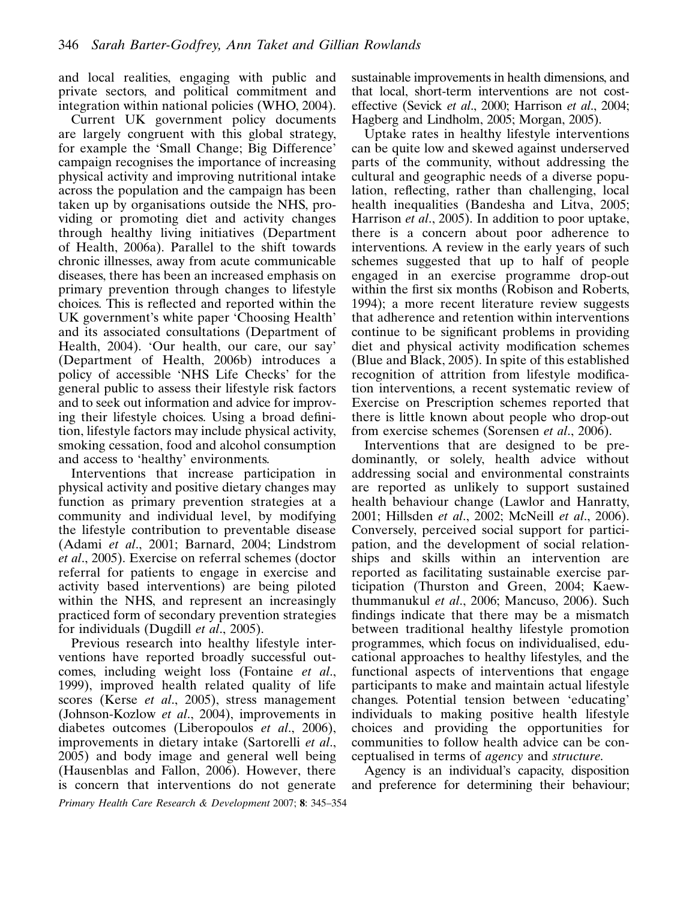and local realities, engaging with public and private sectors, and political commitment and integration within national policies (WHO, 2004).

Current UK government policy documents are largely congruent with this global strategy, for example the 'Small Change; Big Difference' campaign recognises the importance of increasing physical activity and improving nutritional intake across the population and the campaign has been taken up by organisations outside the NHS, providing or promoting diet and activity changes through healthy living initiatives (Department of Health, 2006a). Parallel to the shift towards chronic illnesses, away from acute communicable diseases, there has been an increased emphasis on primary prevention through changes to lifestyle choices. This is reflected and reported within the UK government's white paper 'Choosing Health' and its associated consultations (Department of Health, 2004). 'Our health, our care, our say' (Department of Health, 2006b) introduces a policy of accessible 'NHS Life Checks' for the general public to assess their lifestyle risk factors and to seek out information and advice for improving their lifestyle choices. Using a broad definition, lifestyle factors may include physical activity, smoking cessation, food and alcohol consumption and access to 'healthy' environments.

Interventions that increase participation in physical activity and positive dietary changes may function as primary prevention strategies at a community and individual level, by modifying the lifestyle contribution to preventable disease (Adami et al., 2001; Barnard, 2004; Lindstrom et al., 2005). Exercise on referral schemes (doctor referral for patients to engage in exercise and activity based interventions) are being piloted within the NHS, and represent an increasingly practiced form of secondary prevention strategies for individuals (Dugdill et al., 2005).

Previous research into healthy lifestyle interventions have reported broadly successful outcomes, including weight loss (Fontaine et al., 1999), improved health related quality of life scores (Kerse et al., 2005), stress management (Johnson-Kozlow et al., 2004), improvements in diabetes outcomes (Liberopoulos et al., 2006), improvements in dietary intake (Sartorelli et al., 2005) and body image and general well being (Hausenblas and Fallon, 2006). However, there is concern that interventions do not generate

sustainable improvements in health dimensions, and that local, short-term interventions are not costeffective (Sevick et al., 2000; Harrison et al., 2004; Hagberg and Lindholm, 2005; Morgan, 2005).

Uptake rates in healthy lifestyle interventions can be quite low and skewed against underserved parts of the community, without addressing the cultural and geographic needs of a diverse population, reflecting, rather than challenging, local health inequalities (Bandesha and Litva, 2005; Harrison et al., 2005). In addition to poor uptake, there is a concern about poor adherence to interventions. A review in the early years of such schemes suggested that up to half of people engaged in an exercise programme drop-out within the first six months (Robison and Roberts, 1994); a more recent literature review suggests that adherence and retention within interventions continue to be significant problems in providing diet and physical activity modification schemes (Blue and Black, 2005). In spite of this established recognition of attrition from lifestyle modification interventions, a recent systematic review of Exercise on Prescription schemes reported that there is little known about people who drop-out from exercise schemes (Sorensen et al., 2006).

Interventions that are designed to be predominantly, or solely, health advice without addressing social and environmental constraints are reported as unlikely to support sustained health behaviour change (Lawlor and Hanratty, 2001; Hillsden et al., 2002; McNeill et al., 2006). Conversely, perceived social support for participation, and the development of social relationships and skills within an intervention are reported as facilitating sustainable exercise participation (Thurston and Green, 2004; Kaewthummanukul et al., 2006; Mancuso, 2006). Such findings indicate that there may be a mismatch between traditional healthy lifestyle promotion programmes, which focus on individualised, educational approaches to healthy lifestyles, and the functional aspects of interventions that engage participants to make and maintain actual lifestyle changes. Potential tension between 'educating' individuals to making positive health lifestyle choices and providing the opportunities for communities to follow health advice can be conceptualised in terms of agency and structure.

Agency is an individual's capacity, disposition and preference for determining their behaviour;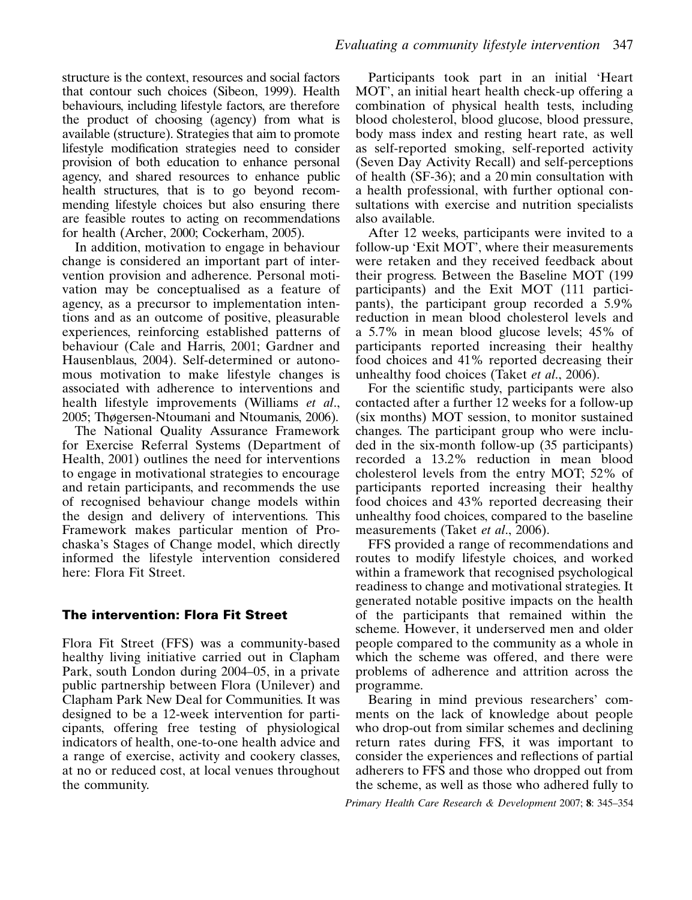structure is the context, resources and social factors that contour such choices (Sibeon, 1999). Health behaviours, including lifestyle factors, are therefore the product of choosing (agency) from what is available (structure). Strategies that aim to promote lifestyle modification strategies need to consider provision of both education to enhance personal agency, and shared resources to enhance public health structures, that is to go beyond recommending lifestyle choices but also ensuring there are feasible routes to acting on recommendations for health (Archer, 2000; Cockerham, 2005).

In addition, motivation to engage in behaviour change is considered an important part of intervention provision and adherence. Personal motivation may be conceptualised as a feature of agency, as a precursor to implementation intentions and as an outcome of positive, pleasurable experiences, reinforcing established patterns of behaviour (Cale and Harris, 2001; Gardner and Hausenblaus, 2004). Self-determined or autonomous motivation to make lifestyle changes is associated with adherence to interventions and health lifestyle improvements (Williams et al., 2005; Thøgersen-Ntoumani and Ntoumanis, 2006).

The National Quality Assurance Framework for Exercise Referral Systems (Department of Health, 2001) outlines the need for interventions to engage in motivational strategies to encourage and retain participants, and recommends the use of recognised behaviour change models within the design and delivery of interventions. This Framework makes particular mention of Prochaska's Stages of Change model, which directly informed the lifestyle intervention considered here: Flora Fit Street.

# The intervention: Flora Fit Street

Flora Fit Street (FFS) was a community-based healthy living initiative carried out in Clapham Park, south London during 2004–05, in a private public partnership between Flora (Unilever) and Clapham Park New Deal for Communities. It was designed to be a 12-week intervention for participants, offering free testing of physiological indicators of health, one-to-one health advice and a range of exercise, activity and cookery classes, at no or reduced cost, at local venues throughout the community.

Participants took part in an initial 'Heart MOT', an initial heart health check-up offering a combination of physical health tests, including blood cholesterol, blood glucose, blood pressure, body mass index and resting heart rate, as well as self-reported smoking, self-reported activity (Seven Day Activity Recall) and self-perceptions of health (SF-36); and a 20 min consultation with a health professional, with further optional consultations with exercise and nutrition specialists also available.

After 12 weeks, participants were invited to a follow-up 'Exit MOT', where their measurements were retaken and they received feedback about their progress. Between the Baseline MOT (199 participants) and the Exit MOT (111 participants), the participant group recorded a 5.9% reduction in mean blood cholesterol levels and a 5.7% in mean blood glucose levels; 45% of participants reported increasing their healthy food choices and 41% reported decreasing their unhealthy food choices (Taket *et al.*, 2006).

For the scientific study, participants were also contacted after a further 12 weeks for a follow-up (six months) MOT session, to monitor sustained changes. The participant group who were included in the six-month follow-up (35 participants) recorded a 13.2% reduction in mean blood cholesterol levels from the entry MOT; 52% of participants reported increasing their healthy food choices and 43% reported decreasing their unhealthy food choices, compared to the baseline measurements (Taket et al., 2006).

FFS provided a range of recommendations and routes to modify lifestyle choices, and worked within a framework that recognised psychological readiness to change and motivational strategies. It generated notable positive impacts on the health of the participants that remained within the scheme. However, it underserved men and older people compared to the community as a whole in which the scheme was offered, and there were problems of adherence and attrition across the programme.

Bearing in mind previous researchers' comments on the lack of knowledge about people who drop-out from similar schemes and declining return rates during FFS, it was important to consider the experiences and reflections of partial adherers to FFS and those who dropped out from the scheme, as well as those who adhered fully to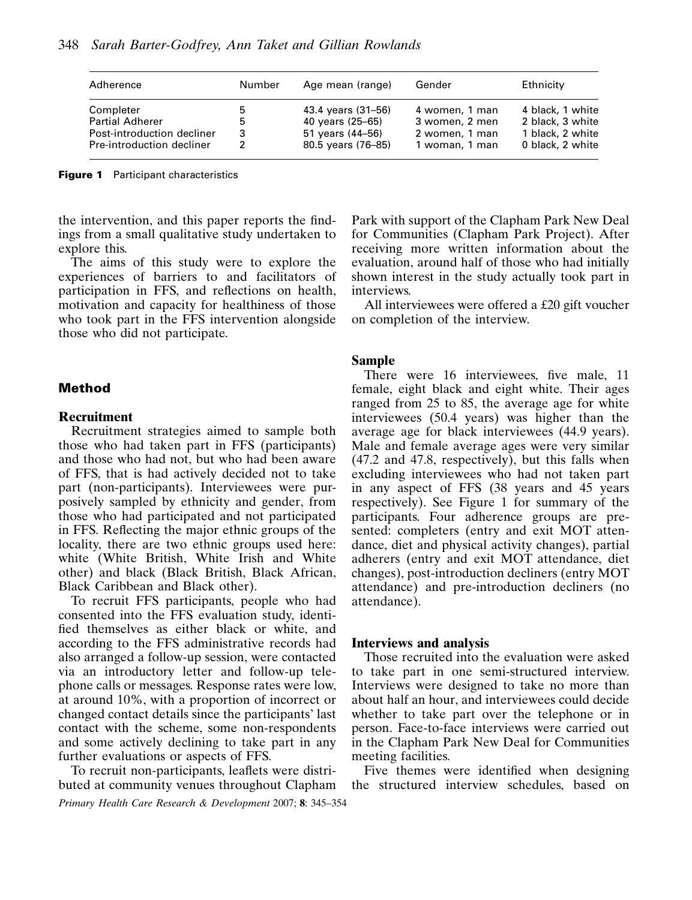| Adherence                                                                                      | Number      | Age mean (range)                                                                 | Gender                                                               | Ethnicity                                                                    |
|------------------------------------------------------------------------------------------------|-------------|----------------------------------------------------------------------------------|----------------------------------------------------------------------|------------------------------------------------------------------------------|
| Completer<br><b>Partial Adherer</b><br>Post-introduction decliner<br>Pre-introduction decliner | b<br>5<br>3 | 43.4 years (31–56)<br>40 years (25–65)<br>51 years (44–56)<br>80.5 years (76-85) | 4 women, 1 man<br>3 women, 2 men<br>2 women, 1 man<br>1 woman, 1 man | 4 black, 1 white<br>2 black, 3 white<br>1 black, 2 white<br>0 black, 2 white |

Figure 1 Participant characteristics

the intervention, and this paper reports the findings from a small qualitative study undertaken to explore this.

The aims of this study were to explore the experiences of barriers to and facilitators of participation in FFS, and reflections on health, motivation and capacity for healthiness of those who took part in the FFS intervention alongside those who did not participate.

#### Method

#### Recruitment

Recruitment strategies aimed to sample both those who had taken part in FFS (participants) and those who had not, but who had been aware of FFS, that is had actively decided not to take part (non-participants). Interviewees were purposively sampled by ethnicity and gender, from those who had participated and not participated in FFS. Reflecting the major ethnic groups of the locality, there are two ethnic groups used here: white (White British, White Irish and White other) and black (Black British, Black African, Black Caribbean and Black other).

To recruit FFS participants, people who had consented into the FFS evaluation study, identified themselves as either black or white, and according to the FFS administrative records had also arranged a follow-up session, were contacted via an introductory letter and follow-up telephone calls or messages. Response rates were low, at around 10%, with a proportion of incorrect or changed contact details since the participants' last contact with the scheme, some non-respondents and some actively declining to take part in any further evaluations or aspects of FFS.

To recruit non-participants, leaflets were distributed at community venues throughout Clapham

Primary Health Care Research & Development 2007; 8: 345–354

Park with support of the Clapham Park New Deal for Communities (Clapham Park Project). After receiving more written information about the evaluation, around half of those who had initially shown interest in the study actually took part in interviews.

All interviewees were offered a £20 gift voucher on completion of the interview.

#### Sample

There were 16 interviewees, five male, 11 female, eight black and eight white. Their ages ranged from 25 to 85, the average age for white interviewees (50.4 years) was higher than the average age for black interviewees (44.9 years). Male and female average ages were very similar (47.2 and 47.8, respectively), but this falls when excluding interviewees who had not taken part in any aspect of FFS (38 years and 45 years respectively). See Figure 1 for summary of the participants. Four adherence groups are presented: completers (entry and exit MOT attendance, diet and physical activity changes), partial adherers (entry and exit MOT attendance, diet changes), post-introduction decliners (entry MOT attendance) and pre-introduction decliners (no attendance).

#### Interviews and analysis

Those recruited into the evaluation were asked to take part in one semi-structured interview. Interviews were designed to take no more than about half an hour, and interviewees could decide whether to take part over the telephone or in person. Face-to-face interviews were carried out in the Clapham Park New Deal for Communities meeting facilities.

Five themes were identified when designing the structured interview schedules, based on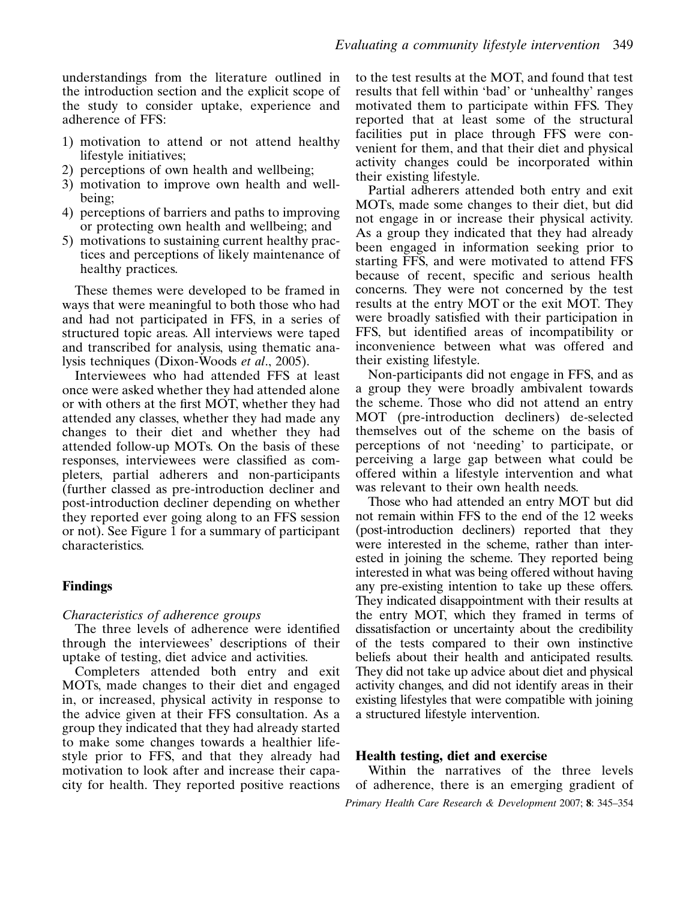understandings from the literature outlined in the introduction section and the explicit scope of the study to consider uptake, experience and adherence of FFS:

- 1) motivation to attend or not attend healthy lifestyle initiatives;
- 2) perceptions of own health and wellbeing;
- 3) motivation to improve own health and wellbeing;
- 4) perceptions of barriers and paths to improving or protecting own health and wellbeing; and
- 5) motivations to sustaining current healthy practices and perceptions of likely maintenance of healthy practices.

These themes were developed to be framed in ways that were meaningful to both those who had and had not participated in FFS, in a series of structured topic areas. All interviews were taped and transcribed for analysis, using thematic analysis techniques (Dixon-Woods et al., 2005).

Interviewees who had attended FFS at least once were asked whether they had attended alone or with others at the first MOT, whether they had attended any classes, whether they had made any changes to their diet and whether they had attended follow-up MOTs. On the basis of these responses, interviewees were classified as completers, partial adherers and non-participants (further classed as pre-introduction decliner and post-introduction decliner depending on whether they reported ever going along to an FFS session or not). See Figure 1 for a summary of participant characteristics.

# Findings

## Characteristics of adherence groups

The three levels of adherence were identified through the interviewees' descriptions of their uptake of testing, diet advice and activities.

Completers attended both entry and exit MOTs, made changes to their diet and engaged in, or increased, physical activity in response to the advice given at their FFS consultation. As a group they indicated that they had already started to make some changes towards a healthier lifestyle prior to FFS, and that they already had motivation to look after and increase their capacity for health. They reported positive reactions to the test results at the MOT, and found that test results that fell within 'bad' or 'unhealthy' ranges motivated them to participate within FFS. They reported that at least some of the structural facilities put in place through FFS were convenient for them, and that their diet and physical activity changes could be incorporated within their existing lifestyle.

Partial adherers attended both entry and exit MOTs, made some changes to their diet, but did not engage in or increase their physical activity. As a group they indicated that they had already been engaged in information seeking prior to starting FFS, and were motivated to attend FFS because of recent, specific and serious health concerns. They were not concerned by the test results at the entry MOT or the exit MOT. They were broadly satisfied with their participation in FFS, but identified areas of incompatibility or inconvenience between what was offered and their existing lifestyle.

Non-participants did not engage in FFS, and as a group they were broadly ambivalent towards the scheme. Those who did not attend an entry MOT (pre-introduction decliners) de-selected themselves out of the scheme on the basis of perceptions of not 'needing' to participate, or perceiving a large gap between what could be offered within a lifestyle intervention and what was relevant to their own health needs.

Those who had attended an entry MOT but did not remain within FFS to the end of the 12 weeks (post-introduction decliners) reported that they were interested in the scheme, rather than interested in joining the scheme. They reported being interested in what was being offered without having any pre-existing intention to take up these offers. They indicated disappointment with their results at the entry MOT, which they framed in terms of dissatisfaction or uncertainty about the credibility of the tests compared to their own instinctive beliefs about their health and anticipated results. They did not take up advice about diet and physical activity changes, and did not identify areas in their existing lifestyles that were compatible with joining a structured lifestyle intervention.

## Health testing, diet and exercise

Within the narratives of the three levels of adherence, there is an emerging gradient of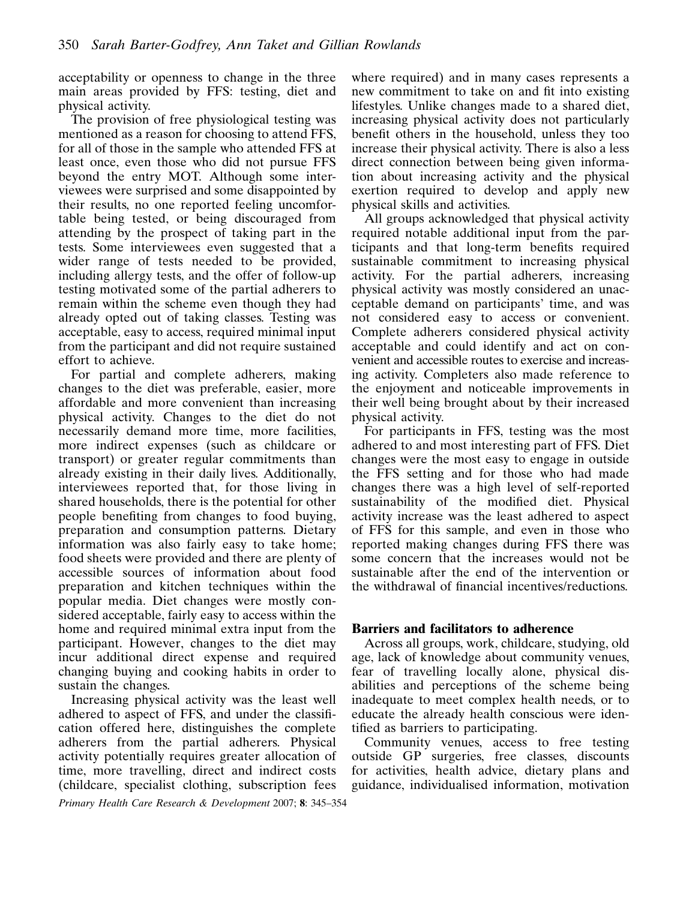acceptability or openness to change in the three main areas provided by FFS: testing, diet and physical activity.

The provision of free physiological testing was mentioned as a reason for choosing to attend FFS, for all of those in the sample who attended FFS at least once, even those who did not pursue FFS beyond the entry MOT. Although some interviewees were surprised and some disappointed by their results, no one reported feeling uncomfortable being tested, or being discouraged from attending by the prospect of taking part in the tests. Some interviewees even suggested that a wider range of tests needed to be provided, including allergy tests, and the offer of follow-up testing motivated some of the partial adherers to remain within the scheme even though they had already opted out of taking classes. Testing was acceptable, easy to access, required minimal input from the participant and did not require sustained effort to achieve.

For partial and complete adherers, making changes to the diet was preferable, easier, more affordable and more convenient than increasing physical activity. Changes to the diet do not necessarily demand more time, more facilities, more indirect expenses (such as childcare or transport) or greater regular commitments than already existing in their daily lives. Additionally, interviewees reported that, for those living in shared households, there is the potential for other people benefiting from changes to food buying, preparation and consumption patterns. Dietary information was also fairly easy to take home; food sheets were provided and there are plenty of accessible sources of information about food preparation and kitchen techniques within the popular media. Diet changes were mostly considered acceptable, fairly easy to access within the home and required minimal extra input from the participant. However, changes to the diet may incur additional direct expense and required changing buying and cooking habits in order to sustain the changes.

Increasing physical activity was the least well adhered to aspect of FFS, and under the classification offered here, distinguishes the complete adherers from the partial adherers. Physical activity potentially requires greater allocation of time, more travelling, direct and indirect costs (childcare, specialist clothing, subscription fees

Primary Health Care Research & Development 2007; 8: 345–354

where required) and in many cases represents a new commitment to take on and fit into existing lifestyles. Unlike changes made to a shared diet, increasing physical activity does not particularly benefit others in the household, unless they too increase their physical activity. There is also a less direct connection between being given information about increasing activity and the physical exertion required to develop and apply new physical skills and activities.

All groups acknowledged that physical activity required notable additional input from the participants and that long-term benefits required sustainable commitment to increasing physical activity. For the partial adherers, increasing physical activity was mostly considered an unacceptable demand on participants' time, and was not considered easy to access or convenient. Complete adherers considered physical activity acceptable and could identify and act on convenient and accessible routes to exercise and increasing activity. Completers also made reference to the enjoyment and noticeable improvements in their well being brought about by their increased physical activity.

For participants in FFS, testing was the most adhered to and most interesting part of FFS. Diet changes were the most easy to engage in outside the FFS setting and for those who had made changes there was a high level of self-reported sustainability of the modified diet. Physical activity increase was the least adhered to aspect of FFS for this sample, and even in those who reported making changes during FFS there was some concern that the increases would not be sustainable after the end of the intervention or the withdrawal of financial incentives/reductions.

#### Barriers and facilitators to adherence

Across all groups, work, childcare, studying, old age, lack of knowledge about community venues, fear of travelling locally alone, physical disabilities and perceptions of the scheme being inadequate to meet complex health needs, or to educate the already health conscious were identified as barriers to participating.

Community venues, access to free testing outside GP surgeries, free classes, discounts for activities, health advice, dietary plans and guidance, individualised information, motivation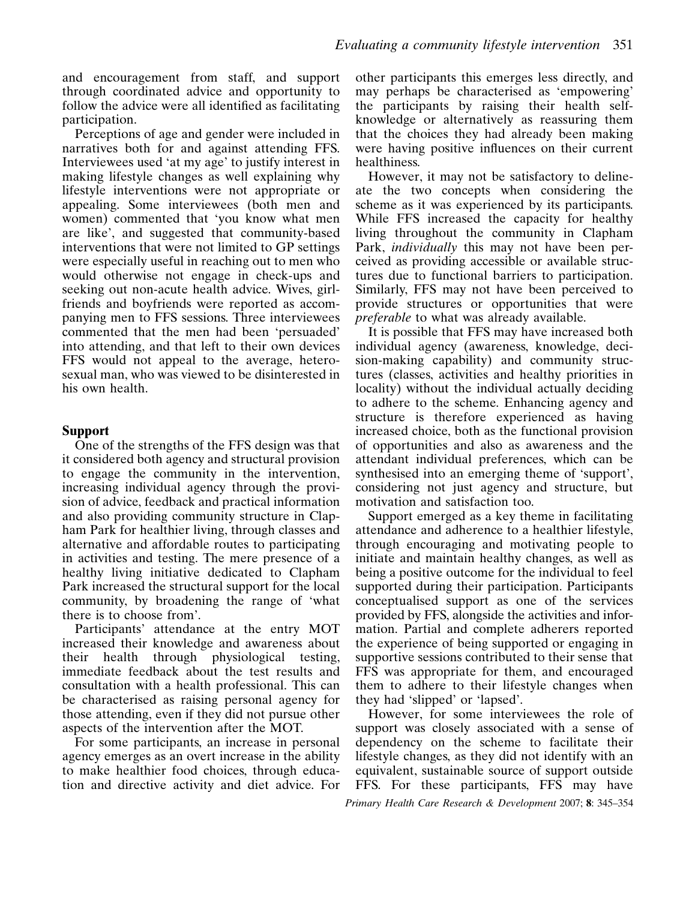and encouragement from staff, and support through coordinated advice and opportunity to follow the advice were all identified as facilitating participation.

Perceptions of age and gender were included in narratives both for and against attending FFS. Interviewees used 'at my age' to justify interest in making lifestyle changes as well explaining why lifestyle interventions were not appropriate or appealing. Some interviewees (both men and women) commented that 'you know what men are like', and suggested that community-based interventions that were not limited to GP settings were especially useful in reaching out to men who would otherwise not engage in check-ups and seeking out non-acute health advice. Wives, girlfriends and boyfriends were reported as accompanying men to FFS sessions. Three interviewees commented that the men had been 'persuaded' into attending, and that left to their own devices FFS would not appeal to the average, heterosexual man, who was viewed to be disinterested in his own health.

# Support

One of the strengths of the FFS design was that it considered both agency and structural provision to engage the community in the intervention, increasing individual agency through the provision of advice, feedback and practical information and also providing community structure in Clapham Park for healthier living, through classes and alternative and affordable routes to participating in activities and testing. The mere presence of a healthy living initiative dedicated to Clapham Park increased the structural support for the local community, by broadening the range of 'what there is to choose from'.

Participants' attendance at the entry MOT increased their knowledge and awareness about their health through physiological testing, immediate feedback about the test results and consultation with a health professional. This can be characterised as raising personal agency for those attending, even if they did not pursue other aspects of the intervention after the MOT.

For some participants, an increase in personal agency emerges as an overt increase in the ability to make healthier food choices, through education and directive activity and diet advice. For other participants this emerges less directly, and may perhaps be characterised as 'empowering' the participants by raising their health selfknowledge or alternatively as reassuring them that the choices they had already been making were having positive influences on their current healthiness.

However, it may not be satisfactory to delineate the two concepts when considering the scheme as it was experienced by its participants. While FFS increased the capacity for healthy living throughout the community in Clapham Park, individually this may not have been perceived as providing accessible or available structures due to functional barriers to participation. Similarly, FFS may not have been perceived to provide structures or opportunities that were preferable to what was already available.

It is possible that FFS may have increased both individual agency (awareness, knowledge, decision-making capability) and community structures (classes, activities and healthy priorities in locality) without the individual actually deciding to adhere to the scheme. Enhancing agency and structure is therefore experienced as having increased choice, both as the functional provision of opportunities and also as awareness and the attendant individual preferences, which can be synthesised into an emerging theme of 'support', considering not just agency and structure, but motivation and satisfaction too.

Support emerged as a key theme in facilitating attendance and adherence to a healthier lifestyle, through encouraging and motivating people to initiate and maintain healthy changes, as well as being a positive outcome for the individual to feel supported during their participation. Participants conceptualised support as one of the services provided by FFS, alongside the activities and information. Partial and complete adherers reported the experience of being supported or engaging in supportive sessions contributed to their sense that FFS was appropriate for them, and encouraged them to adhere to their lifestyle changes when they had 'slipped' or 'lapsed'.

However, for some interviewees the role of support was closely associated with a sense of dependency on the scheme to facilitate their lifestyle changes, as they did not identify with an equivalent, sustainable source of support outside FFS. For these participants, FFS may have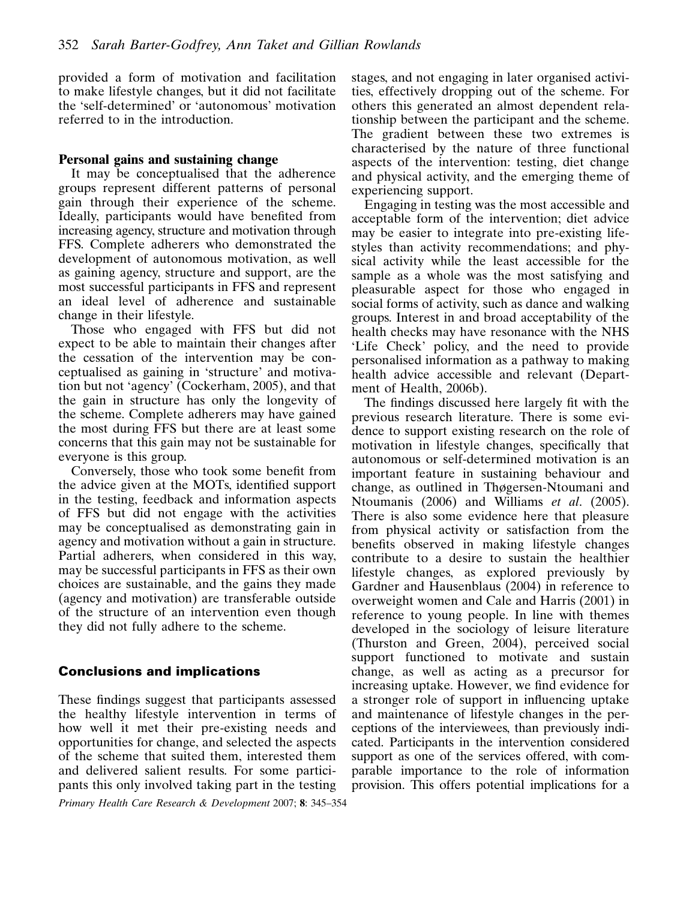provided a form of motivation and facilitation to make lifestyle changes, but it did not facilitate the 'self-determined' or 'autonomous' motivation referred to in the introduction.

#### Personal gains and sustaining change

It may be conceptualised that the adherence groups represent different patterns of personal gain through their experience of the scheme. Ideally, participants would have benefited from increasing agency, structure and motivation through FFS. Complete adherers who demonstrated the development of autonomous motivation, as well as gaining agency, structure and support, are the most successful participants in FFS and represent an ideal level of adherence and sustainable change in their lifestyle.

Those who engaged with FFS but did not expect to be able to maintain their changes after the cessation of the intervention may be conceptualised as gaining in 'structure' and motivation but not 'agency' (Cockerham, 2005), and that the gain in structure has only the longevity of the scheme. Complete adherers may have gained the most during FFS but there are at least some concerns that this gain may not be sustainable for everyone is this group.

Conversely, those who took some benefit from the advice given at the MOTs, identified support in the testing, feedback and information aspects of FFS but did not engage with the activities may be conceptualised as demonstrating gain in agency and motivation without a gain in structure. Partial adherers, when considered in this way, may be successful participants in FFS as their own choices are sustainable, and the gains they made (agency and motivation) are transferable outside of the structure of an intervention even though they did not fully adhere to the scheme.

# Conclusions and implications

These findings suggest that participants assessed the healthy lifestyle intervention in terms of how well it met their pre-existing needs and opportunities for change, and selected the aspects of the scheme that suited them, interested them and delivered salient results. For some participants this only involved taking part in the testing

Primary Health Care Research & Development 2007; 8: 345–354

stages, and not engaging in later organised activities, effectively dropping out of the scheme. For others this generated an almost dependent relationship between the participant and the scheme. The gradient between these two extremes is characterised by the nature of three functional aspects of the intervention: testing, diet change and physical activity, and the emerging theme of experiencing support.

Engaging in testing was the most accessible and acceptable form of the intervention; diet advice may be easier to integrate into pre-existing lifestyles than activity recommendations; and physical activity while the least accessible for the sample as a whole was the most satisfying and pleasurable aspect for those who engaged in social forms of activity, such as dance and walking groups. Interest in and broad acceptability of the health checks may have resonance with the NHS 'Life Check' policy, and the need to provide personalised information as a pathway to making health advice accessible and relevant (Department of Health, 2006b).

The findings discussed here largely fit with the previous research literature. There is some evidence to support existing research on the role of motivation in lifestyle changes, specifically that autonomous or self-determined motivation is an important feature in sustaining behaviour and change, as outlined in Thøgersen-Ntoumani and Ntoumanis (2006) and Williams et al. (2005). There is also some evidence here that pleasure from physical activity or satisfaction from the benefits observed in making lifestyle changes contribute to a desire to sustain the healthier lifestyle changes, as explored previously by Gardner and Hausenblaus (2004) in reference to overweight women and Cale and Harris (2001) in reference to young people. In line with themes developed in the sociology of leisure literature (Thurston and Green, 2004), perceived social support functioned to motivate and sustain change, as well as acting as a precursor for increasing uptake. However, we find evidence for a stronger role of support in influencing uptake and maintenance of lifestyle changes in the perceptions of the interviewees, than previously indicated. Participants in the intervention considered support as one of the services offered, with comparable importance to the role of information provision. This offers potential implications for a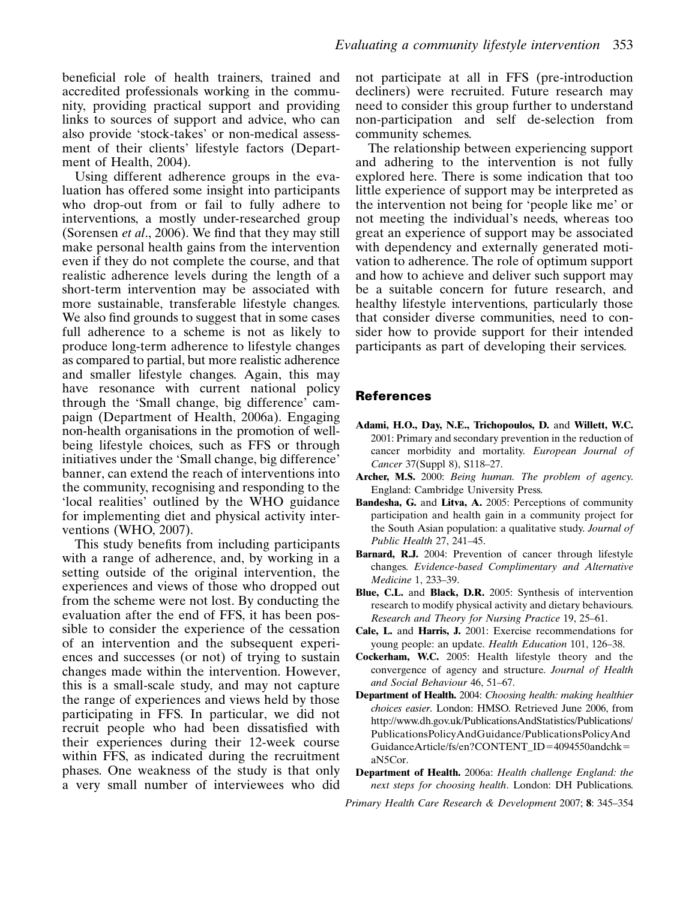beneficial role of health trainers, trained and accredited professionals working in the community, providing practical support and providing links to sources of support and advice, who can also provide 'stock-takes' or non-medical assessment of their clients' lifestyle factors (Department of Health, 2004).

Using different adherence groups in the evaluation has offered some insight into participants who drop-out from or fail to fully adhere to interventions, a mostly under-researched group (Sorensen et al., 2006). We find that they may still make personal health gains from the intervention even if they do not complete the course, and that realistic adherence levels during the length of a short-term intervention may be associated with more sustainable, transferable lifestyle changes. We also find grounds to suggest that in some cases full adherence to a scheme is not as likely to produce long-term adherence to lifestyle changes as compared to partial, but more realistic adherence and smaller lifestyle changes. Again, this may have resonance with current national policy through the 'Small change, big difference' campaign (Department of Health, 2006a). Engaging non-health organisations in the promotion of wellbeing lifestyle choices, such as FFS or through initiatives under the 'Small change, big difference' banner, can extend the reach of interventions into the community, recognising and responding to the 'local realities' outlined by the WHO guidance for implementing diet and physical activity interventions (WHO, 2007).

This study benefits from including participants with a range of adherence, and, by working in a setting outside of the original intervention, the experiences and views of those who dropped out from the scheme were not lost. By conducting the evaluation after the end of FFS, it has been possible to consider the experience of the cessation of an intervention and the subsequent experiences and successes (or not) of trying to sustain changes made within the intervention. However, this is a small-scale study, and may not capture the range of experiences and views held by those participating in FFS. In particular, we did not recruit people who had been dissatisfied with their experiences during their 12-week course within FFS, as indicated during the recruitment phases. One weakness of the study is that only a very small number of interviewees who did not participate at all in FFS (pre-introduction decliners) were recruited. Future research may need to consider this group further to understand non-participation and self de-selection from community schemes.

The relationship between experiencing support and adhering to the intervention is not fully explored here. There is some indication that too little experience of support may be interpreted as the intervention not being for 'people like me' or not meeting the individual's needs, whereas too great an experience of support may be associated with dependency and externally generated motivation to adherence. The role of optimum support and how to achieve and deliver such support may be a suitable concern for future research, and healthy lifestyle interventions, particularly those that consider diverse communities, need to consider how to provide support for their intended participants as part of developing their services.

## **References**

- Adami, H.O., Day, N.E., Trichopoulos, D. and Willett, W.C. 2001: Primary and secondary prevention in the reduction of cancer morbidity and mortality. European Journal of Cancer 37(Suppl 8), S118–27.
- Archer, M.S. 2000: Being human. The problem of agency. England: Cambridge University Press.
- Bandesha, G. and Litva, A. 2005: Perceptions of community participation and health gain in a community project for the South Asian population: a qualitative study. Journal of Public Health 27, 241–45.
- Barnard, R.J. 2004: Prevention of cancer through lifestyle changes. Evidence-based Complimentary and Alternative Medicine 1, 233–39.
- Blue, C.L. and Black, D.R. 2005: Synthesis of intervention research to modify physical activity and dietary behaviours. Research and Theory for Nursing Practice 19, 25–61.
- Cale, L. and Harris, J. 2001: Exercise recommendations for young people: an update. Health Education 101, 126–38.
- Cockerham, W.C. 2005: Health lifestyle theory and the convergence of agency and structure. Journal of Health and Social Behaviour 46, 51–67.
- Department of Health. 2004: Choosing health: making healthier choices easier. London: HMSO. Retrieved June 2006, from http://www.dh.gov.uk/PublicationsAndStatistics/Publications/ PublicationsPolicyAndGuidance/PublicationsPolicyAnd GuidanceArticle/fs/en?CONTENT\_ID=4094550andchk= aN5Cor.

Department of Health. 2006a: Health challenge England: the next steps for choosing health. London: DH Publications.